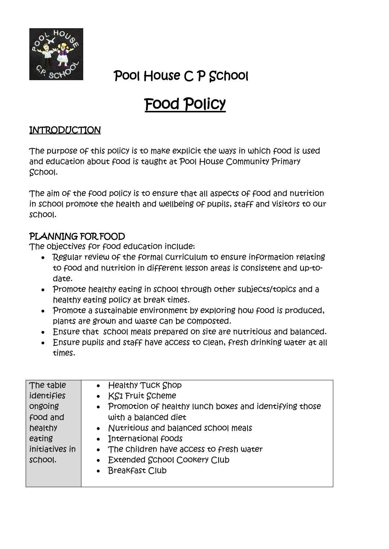

## Pool House C P School

# Food Policy

#### INTRODUCTION

The purpose of this policy is to make explicit the ways in which food is used and education about food is taught at Pool House Community Primary School.

The aim of the food policy is to ensure that all aspects of food and nutrition in school promote the health and wellbeing of pupils, staff and visitors to our school.

### PLANNING FOR FOOD

The objectives for food education include:

- Regular review of the formal curriculum to ensure information relating to food and nutrition in different lesson areas is consistent and up-todate.
- Promote healthy eating in school through other subjects/topics and a healthy eating policy at break times.
- Promote a sustainable environment by exploring how food is produced, plants are grown and waste can be composted.
- Ensure that school meals prepared on site are nutritious and balanced.
- Ensure pupils and staff have access to clean, fresh drinking water at all times.

| • Promotion of healthy lunch boxes and identifying those |
|----------------------------------------------------------|
|                                                          |
|                                                          |
|                                                          |
|                                                          |
|                                                          |
|                                                          |
|                                                          |
|                                                          |